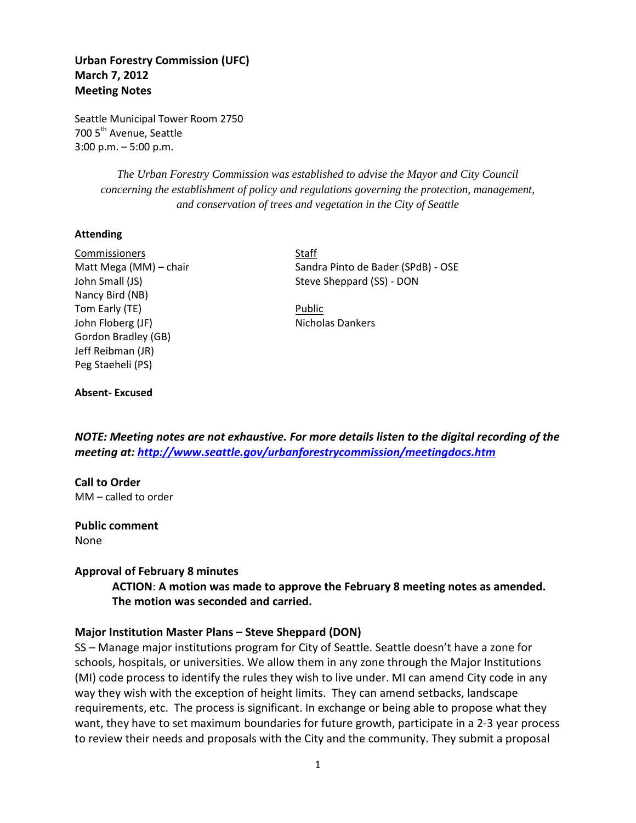# **Urban Forestry Commission (UFC) March 7, 2012 Meeting Notes**

Seattle Municipal Tower Room 2750 700 5<sup>th</sup> Avenue, Seattle 3:00 p.m. – 5:00 p.m.

> *The Urban Forestry Commission was established to advise the Mayor and City Council concerning the establishment of policy and regulations governing the protection, management, and conservation of trees and vegetation in the City of Seattle*

#### **Attending**

Commissioners Staff Nancy Bird (NB) Tom Early (TE) **Public** John Floberg (JF) Nicholas Dankers Gordon Bradley (GB) Jeff Reibman (JR) Peg Staeheli (PS)

Matt Mega (MM) – chair Sandra Pinto de Bader (SPdB) - OSE John Small (JS) Steve Sheppard (SS) - DON

#### **Absent- Excused**

*NOTE: Meeting notes are not exhaustive. For more details listen to the digital recording of the meeting at:<http://www.seattle.gov/urbanforestrycommission/meetingdocs.htm>*

### **Call to Order**

MM – called to order

### **Public comment**

None

### **Approval of February 8 minutes**

# **ACTION**: **A motion was made to approve the February 8 meeting notes as amended. The motion was seconded and carried.**

### **Major Institution Master Plans – Steve Sheppard (DON)**

SS – Manage major institutions program for City of Seattle. Seattle doesn't have a zone for schools, hospitals, or universities. We allow them in any zone through the Major Institutions (MI) code process to identify the rules they wish to live under. MI can amend City code in any way they wish with the exception of height limits. They can amend setbacks, landscape requirements, etc. The process is significant. In exchange or being able to propose what they want, they have to set maximum boundaries for future growth, participate in a 2-3 year process to review their needs and proposals with the City and the community. They submit a proposal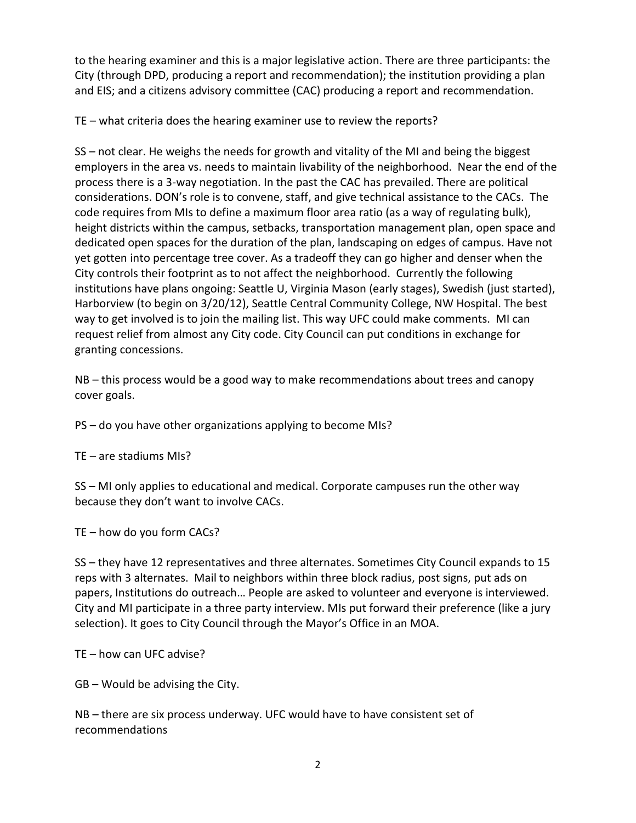to the hearing examiner and this is a major legislative action. There are three participants: the City (through DPD, producing a report and recommendation); the institution providing a plan and EIS; and a citizens advisory committee (CAC) producing a report and recommendation.

TE – what criteria does the hearing examiner use to review the reports?

SS – not clear. He weighs the needs for growth and vitality of the MI and being the biggest employers in the area vs. needs to maintain livability of the neighborhood. Near the end of the process there is a 3-way negotiation. In the past the CAC has prevailed. There are political considerations. DON's role is to convene, staff, and give technical assistance to the CACs. The code requires from MIs to define a maximum floor area ratio (as a way of regulating bulk), height districts within the campus, setbacks, transportation management plan, open space and dedicated open spaces for the duration of the plan, landscaping on edges of campus. Have not yet gotten into percentage tree cover. As a tradeoff they can go higher and denser when the City controls their footprint as to not affect the neighborhood. Currently the following institutions have plans ongoing: Seattle U, Virginia Mason (early stages), Swedish (just started), Harborview (to begin on 3/20/12), Seattle Central Community College, NW Hospital. The best way to get involved is to join the mailing list. This way UFC could make comments. MI can request relief from almost any City code. City Council can put conditions in exchange for granting concessions.

NB – this process would be a good way to make recommendations about trees and canopy cover goals.

PS – do you have other organizations applying to become MIs?

TE – are stadiums MIs?

SS – MI only applies to educational and medical. Corporate campuses run the other way because they don't want to involve CACs.

TE – how do you form CACs?

SS – they have 12 representatives and three alternates. Sometimes City Council expands to 15 reps with 3 alternates. Mail to neighbors within three block radius, post signs, put ads on papers, Institutions do outreach… People are asked to volunteer and everyone is interviewed. City and MI participate in a three party interview. MIs put forward their preference (like a jury selection). It goes to City Council through the Mayor's Office in an MOA.

TE – how can UFC advise?

GB – Would be advising the City.

NB – there are six process underway. UFC would have to have consistent set of recommendations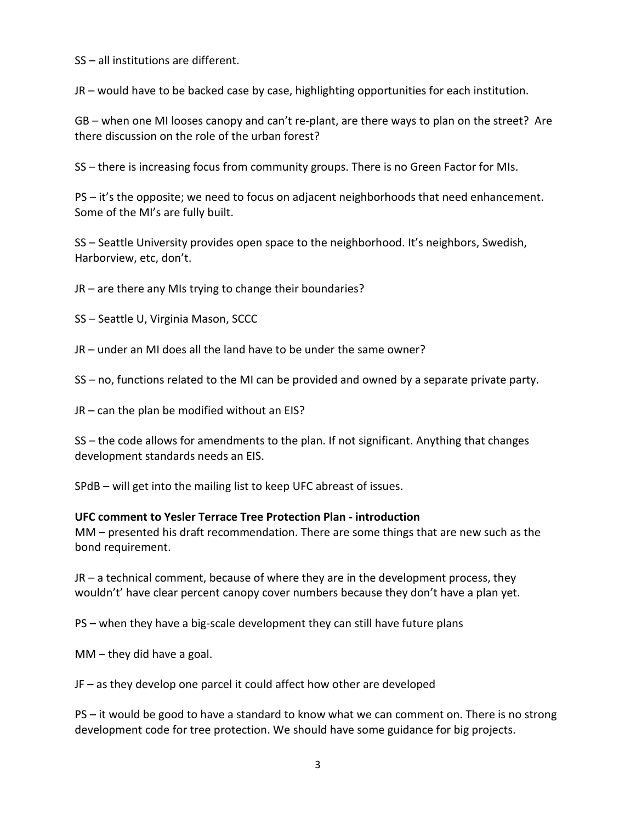SS – all institutions are different.

JR – would have to be backed case by case, highlighting opportunities for each institution.

GB – when one MI looses canopy and can't re-plant, are there ways to plan on the street? Are there discussion on the role of the urban forest?

SS – there is increasing focus from community groups. There is no Green Factor for MIs.

PS – it's the opposite; we need to focus on adjacent neighborhoods that need enhancement. Some of the MI's are fully built.

SS – Seattle University provides open space to the neighborhood. It's neighbors, Swedish, Harborview, etc, don't.

JR – are there any MIs trying to change their boundaries?

SS – Seattle U, Virginia Mason, SCCC

JR – under an MI does all the land have to be under the same owner?

SS – no, functions related to the MI can be provided and owned by a separate private party.

JR – can the plan be modified without an EIS?

SS – the code allows for amendments to the plan. If not significant. Anything that changes development standards needs an EIS.

SPdB – will get into the mailing list to keep UFC abreast of issues.

### **UFC comment to Yesler Terrace Tree Protection Plan - introduction**

MM – presented his draft recommendation. There are some things that are new such as the bond requirement.

JR – a technical comment, because of where they are in the development process, they wouldn't' have clear percent canopy cover numbers because they don't have a plan yet.

PS – when they have a big-scale development they can still have future plans

MM – they did have a goal.

JF – as they develop one parcel it could affect how other are developed

PS – it would be good to have a standard to know what we can comment on. There is no strong development code for tree protection. We should have some guidance for big projects.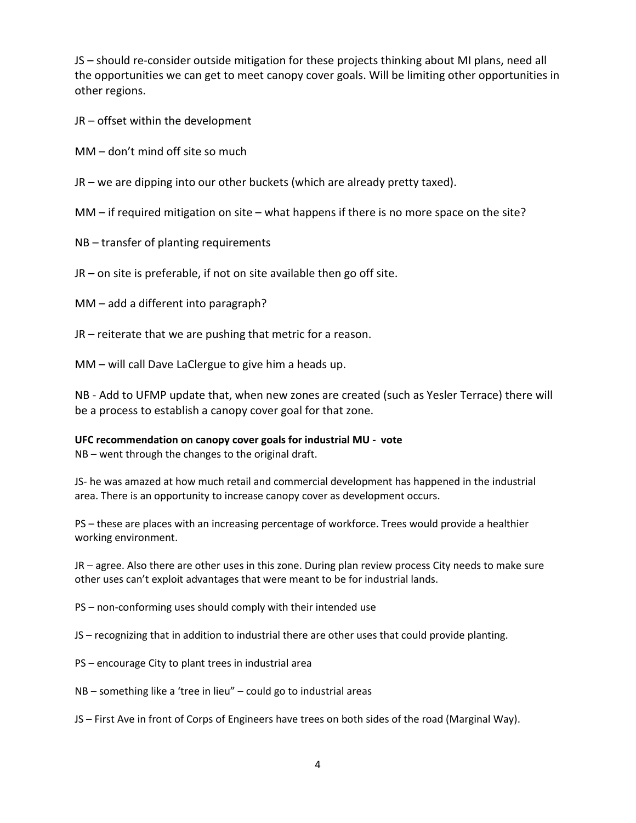JS – should re-consider outside mitigation for these projects thinking about MI plans, need all the opportunities we can get to meet canopy cover goals. Will be limiting other opportunities in other regions.

JR – offset within the development

MM – don't mind off site so much

JR – we are dipping into our other buckets (which are already pretty taxed).

MM – if required mitigation on site – what happens if there is no more space on the site?

NB – transfer of planting requirements

JR – on site is preferable, if not on site available then go off site.

MM – add a different into paragraph?

JR – reiterate that we are pushing that metric for a reason.

MM – will call Dave LaClergue to give him a heads up.

NB - Add to UFMP update that, when new zones are created (such as Yesler Terrace) there will be a process to establish a canopy cover goal for that zone.

### **UFC recommendation on canopy cover goals for industrial MU - vote**

NB – went through the changes to the original draft.

JS- he was amazed at how much retail and commercial development has happened in the industrial area. There is an opportunity to increase canopy cover as development occurs.

PS – these are places with an increasing percentage of workforce. Trees would provide a healthier working environment.

JR – agree. Also there are other uses in this zone. During plan review process City needs to make sure other uses can't exploit advantages that were meant to be for industrial lands.

PS – non-conforming uses should comply with their intended use

JS – recognizing that in addition to industrial there are other uses that could provide planting.

PS – encourage City to plant trees in industrial area

NB – something like a 'tree in lieu" – could go to industrial areas

JS – First Ave in front of Corps of Engineers have trees on both sides of the road (Marginal Way).